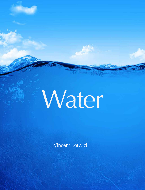# Water

Vincent Kotwicki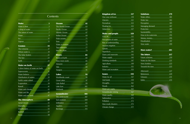# **Contents**

| <b>Water</b>        |                |
|---------------------|----------------|
| Water is best       | $\overline{3}$ |
| A drop of water     | 5              |
| The nature of water |                |
| Water               | 9              |
| <b>l</b> ce         | 11             |
| Vapour              | 13             |
|                     |                |
| Cosmos              |                |

| <b>The Universe</b>     | 17 |
|-------------------------|----|
| Where water is          | 19 |
| <b>The Solar System</b> | 21 |
| <b>The Sun</b>          | 23 |
| Earth                   | ハ  |

| <b>Water on Earth</b> |  |
|-----------------------|--|
|                       |  |

| A short history of water on Earth | <u>29</u> |
|-----------------------------------|-----------|
| <b>Superoceans</b>                | 31        |
| Water balance                     | 33        |
| Distribution of waters            | 35        |
| Earth's water wheel               | 37        |
| <b>Evaporation</b>                | 39        |
| Runoff                            | 41        |
| <b>Water and climate</b>          | 43        |
| Water and life                    | 45        |
| Water and our body                | 47        |
|                                   |           |
| <b>The Atmosphere</b>             | 49        |
| <b>Aerial Ocean</b>               | 51        |
| <b>Humidity</b>                   | 53        |
| <b>Cloudscapes</b>                | 55        |
| <u>Rainfall</u>                   | 57        |

Snow 59

| <b>Oceans</b>          | 61          |
|------------------------|-------------|
| The World Ocean        | 63          |
| Pacific Ocean          | 65          |
| Atlantic Ocean         | 67          |
| <u>Indian Ocean</u>    | 69          |
| <u>Polar oceans</u>    | 71          |
| Seas                   | 73          |
| <b>Water in motion</b> | 75          |
| <b>Top millimetre</b>  | 77          |
| Into the abyss         | 79          |
| <b>Rivers</b>          | 81          |
| <b>Rivers of Earth</b> | 83          |
| How rivers work        | 85          |
| <u>Amazon</u>          | 87          |
| <u>Nile</u>            | 89          |
| Yangtze                | 91          |
| <b>Lakes</b>           | 93          |
| Worldwide count        | 95          |
| <u>Great Lakes</u>     | 97          |
| <u>Lake Baikal</u>     | 99          |
| Lake Eyre              | <u>101</u>  |
| <b>Wetlands</b>        | 103         |
| <b>Groundwater</b>     | <b>105</b>  |
| The underworld         | 107         |
| Soil moisture          | <u> 109</u> |
| <u>Infiltration</u>    | 111         |
| <b>Aquifers</b>        | <u> 113</u> |
| <u>Recharge</u>        | <u> 115</u> |
|                        |             |

| <u>Kingdom of ice</u>               |
|-------------------------------------|
| Our cosy icehouse                   |
| Glaciers <b>Container Container</b> |
| Permafrost                          |
| Floating Ice                        |
| Antarctica                          |
| <u>Water and peop</u>               |
| 9702 BC                             |
| Perceptions of wat                  |
| <u>Rise of understand</u>           |
| <b>Ancient irrigation</b>           |
| Qanats<br><u>Qanats</u>             |
| Aqueducts                           |
| Dams and reservol                   |
| Water supply                        |
| Drinking standards                  |
| Agriculture                         |
| Industry                            |
| Water and recreati                  |
| <u><b>Issues</b></u>                |
| Water for all                       |
| <b>Arid lands</b>                   |
| <b>Droughts</b>                     |
| <u>Floods</u>                       |
| Water per capita                    |
|                                     |

- Groundwater mini Water quality Salinization Pollution Man-made disaste
- Climate change

| <b>Kingdom of ice</b>                                           | 117              |  |
|-----------------------------------------------------------------|------------------|--|
| Our cosy icehouse                                               | 119              |  |
| <b>Glaciers</b>                                                 | <u> 121</u>      |  |
| Permafrost                                                      | 123              |  |
| <b>Floating Ice</b>                                             | <u>125</u>       |  |
| <u>Antarctica</u>                                               | <u>127</u>       |  |
| <u>Water and people</u>                                         | <u> 129</u>      |  |
| 9702 BC                                                         | <u> 131</u>      |  |
| Perceptions of water                                            | 133              |  |
| Rise of understanding                                           | 135              |  |
| <b>Ancient irrigation</b>                                       | 137              |  |
| Qanats                                                          | 139              |  |
| <b>Aqueducts</b>                                                | 141              |  |
| Dams and reservoirs                                             | 143              |  |
| <u>Water supply</u>                                             | <u> 145</u>      |  |
| Drinking standards                                              | <u> 147</u>      |  |
| <b>Agriculture</b>                                              | 149              |  |
| <b>Industry</b>                                                 | 151              |  |
| Water and recreation                                            | $1\overline{53}$ |  |
| <b>Issues</b>                                                   | 155              |  |
| Water for all                                                   | <u>157</u>       |  |
| Arid lands                                                      | <u>159</u>       |  |
| <b>Droughts</b><br><u> 1999 - Jan Barnett, fransk politiker</u> | 161              |  |
| Floods                                                          | 163              |  |
| Water per capita                                                | 165              |  |
| <b>Groundwater mining</b>                                       | 167              |  |
| <b>Water quality</b><br>______                                  | 169              |  |
| Salinization                                                    | 171              |  |
| <b>Pollution</b>                                                | 173              |  |
| <u>Man-made disasters</u>                                       | 175              |  |
| <u>Climate change</u>                                           | 177              |  |

| Solutions                                                                     | 179          |
|-------------------------------------------------------------------------------|--------------|
| <u>Water ethics</u>                                                           | 181          |
| <u>Water law</u>                                                              | 183          |
| <u>Perception</u>                                                             | 185          |
| <u>Managing demand</u>                                                        | 187          |
| Protection                                                                    | 189          |
| <u>Sustainability</u><br><u> 2008 - Johann Stoff, Amerikaansk politiker (</u> | 191          |
| How to be waterwise                                                           | 193          |
| Money, money                                                                  | <u> 195</u>  |
| <b>Desalination</b>                                                           | 197          |
| New water                                                                     | <u> 199</u>  |
|                                                                               |              |
|                                                                               |              |
| <b>More water?</b>                                                            | <u>201</u>   |
| <b>The future</b>                                                             | <u>217</u>   |
| <u>Future schemes</u>                                                         | <u>219</u>   |
| Water for the future                                                          | 221          |
| <b>New frontiers</b>                                                          | 223          |
| Towards the stars                                                             | 225          |
|                                                                               |              |
| <u>Afterword</u>                                                              | <u> 227 </u> |
| <u>References</u>                                                             | 229          |
| Glossary                                                                      | <u>231</u>   |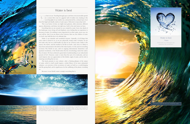Above: The nature of water is most familiar to us from our own perspective, in logarithmic terms, half -way between the domains of general relativity and quantum mechanics. While we have some modicum of understanding of our watery neighbourhood, much has yet to be learned at the extremities of this scale, since the nature of water seems to exercise influence over the whole spectrum.





Everything under the Sun was created by water

4

This is our home. In time, we might roam galaxies, other universes, different spaces, dimensions, and times, but right now, Earth is the only home we have.

Everything that we see around us was created by water. Every tiny detail of the landscape, every living cell and elephant, every feeling that we experience is because of water. For nothing is more important for us than water, never was, nor ever will be. And, if we are alone in the Universe, then we, the *children of water on Earth*, may hold the key to its ultimate fate.

o, here we are. Traveling through space and time at inconceivable speeds on a veneer -thin crust of a gigantic ball of molten iron, basking in the scorching light of our mother star, and protected by a minute layer of air from the frigid and deadly realms of outer space. Welcome to *Spaceship Earth* . S

Water is our absolute and wonderful treasure. Naturally, of all things that exist, water is closest to us, as we are, physically, mostly water. Certainly, we are not water only, but we could fondly say that we are *18-karat water*. Water is the source, the matrix, and the medium of all life on Earth—and, since it is likely to have been instrumental in the birth of the Solar System, it is the seed of everything we know. This World of ours, with its ongoing informational, biotechnics and quantum revolutions, is the World where the fire of technology meets the watery flux of nature. We have achieved a great deal of understanding in our reductionist pursuit of  $H_2O$ . However, water is more than the sum of its molecules, and we need improve also our appreciation of the holistic angle of water, and its role in fostering everything that we see.

This book presents in one volume—after a fleeting glimpse of the nature of water, which in itself would require a whole library of far more substantial volumes—an overview of the occurrence of water on Earth as a world-shaping and life -giving fluid, and its significance for the wellbeing of the planet, including us.

Because, in our World, water is simply everything that is.





## Water is best

#### Water is best **Thales** If this book was reduced to one

statement, this would be it.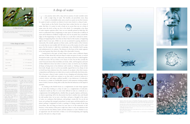Top left: A drop in the ocean is a proverbially small quantity, and while it is indeed small, mathematics has a tidy number for it: it takes  $20^{26}$  or 100 trillion trillion drops of water to form the World Ocean, a quantity comparable to the number of stars in the observable Universe. Top right: When a drop of water comes out of a faucet, it has a tear shape, because the top of the water drop sticks to the water still in the faucet until it cannot hold on any longer.

Middle right: We need to drink a few litres of water per day, because one drop of water keeps us running for only about a second

Bottom right: Drops of water come in many shapes and sizes, and it can be successfully argued that none of them are identical.

Bottom left: H<sub>2</sub>O is a symbol of a molecule. Water is an environment of interacting H<sub>2</sub>O molecule



5

Many books on the Pacific Ocean have been written but few on a drop of water. But then, it is easier to write a book on an ocean than one on a drop of water, since *the devil*, as they say, *lies in the details*. To contemplate a tiny drop of water requires supreme effort, since we are naturally primed to think big. We seem to understand what is happening in outer space on timescales of zillions of years and at distances of billions of light years, but we are pretty hazy around the edges on the happenings of a drop of water on a scale that is relevant to atoms. Things are happening there, but what are they? Much of the mystery is happening right in front of our eyes. While we are not accustomed to paying attention to nanoscales, life actually operates on these scales, and the matrix of the Universe on scales that are even smaller still. We look in awe at the mystery far off in outer space, but the mystery is right here, tantalizingly close, fiendishly hard to grasp, and unbeknownst in its vastness. The distance to the heart of the matter appears to be much greater than that to the edge of the observable Universe.

Coming back to the topic at hand, drops of water come in different shapes and sizes. It takes about fifty mid-size drops to make one gram of water, or several thousand to make a cup of tea, while many more drops need to be crafted together to make an ocean. We say *similar as two drops of water*, but are they actually the same? Everyone knows that snowflakes are lovely, white, and hexagonal, and each of them different to boot, but when it comes to water, we tend to see, by default, all drops as being more or less identical, well, mostly so. Nothing can be further from truth, though, since it can be successfully argued that no two drops of rain on Earth have been identical since the creation of our planet, when their masses, compositions and behaviour are taken into account on sufficiently short timescales. This is because a drop of water consists of ever-changing and reforming clusters of molecules: one could even venture to say that water *is perfectly balanced in constant motion*, and using a political parallel, a true democracy of molecules. Its structure is a matter of considerable research, with numerous working models; none of which, however, being able to fully describe the behaviour of the liquid in question.

• A drop of water is a trademark of • A single drop of water can water, and in a way, a symbol of life. • Water is unique in so many of its properties that it stands alone as • Water's density decreases as it the most remarkable liquid on Earth. • Liquid water is dotted with re gions of 50 to 100 constantly reforming tetrahedrally arranged molecules, that stay put for less than a trillionth of a second. • If everyone were a drop of • A drop of watery solution can water, they could fill an Olympic-sized pool. • A large tip, held vertically, may yield 20 drops of water per mL.  $\bullet$  1 mole H<sub>2</sub>O = 18 g H<sub>2</sub>O = 6.02 · A tiny tip may yield 50 drops per mL. • The size of droplets in the atmo-<br>
a second is to 32 million years. sphere ranges widely; drops in • Scientists have long pondered liquid aerosol solutions are 2 μm contain as many as 50 million bacteria, the tiniest free-living cells. approaches the liquid -vapour interface. This phenomenon, known as *surface relaxation*, in creases the reactivity of mole cules in this interfacial region. • A drop of seawater may contain 50 billion viruses. hold a trillion of biological nanocomputers that coexist and compute in parallel. 1023 molecules. • An *attosecond* is to a *second* as the orientation of water mole -

very journey starts with a step and our journey of water wonders starts with a single drop of water. The humble, yet proverbial, every drop counts is a formidable entity. Just as much as a poet can see the Universe in a grain of sand, a scientist can observe it even more clearly in a drop of water. E

So, looking at the World Ocean as a conglomerate of water drops appears to be easier than looking at a drop of water as a conglomerate of molecules. A physicist would say that it is even more difficult to look at a molecule as a conglomerate of its building blocks, whether they are quarks, leptons, and bosons, or elusive superstrings still to be discovered, but that is another story and should be told another time. Let us turn a leaf then, and give a thought to the *nature of water*, as a substance that harbours, and perhaps, creates life. For we do not know yet: perhaps life emerged somewhere in outer space and descended to our planet, perhaps it originated on Earth, or perhaps it is being created all day long everywhere. But one thing we know for sure; here or in the immensity of the heavens, in the eternity of the past or right now, there is only one substance that can kick-start life from lifeless matter and this substance is *water*. Whether it was an opportune one-off event here or there, or an all encompassing and ongoing process, life starts in a drop of water.











# A drop of water

| A few drops of water      |                                                |
|---------------------------|------------------------------------------------|
| a glass of water          | 5000 drops                                     |
| a human                   | 1 million drops                                |
| Earth                     | 100 trillion trillion (10 <sup>26</sup> drops) |
|                           |                                                |
| 1 drop of water           | $1.5 \cdot 10^{21}$ molecules                  |
| 1 g of water              | $3.3 \cdot 10^{22}$ molecules                  |
| $1 \text{ km}^3$ of water | $3.3 \cdot 10^{37}$ molecules                  |
| Farth                     | $4.5 \cdot 10^{46}$ molecules                  |
|                           |                                                |

Water, water, everywhere, And all the boards did shrink; Water, water, everywhere, Nor any drop to drink.

> The Rime of the Ancient Mariner Samuel Coleridge, 1798



A drop of water

in diameter, cloud droplets have diameters in the range of 5 -70 μm, while rain droplets range from 0.1 to over 3 mm in

diameter.

cules at the surface of water, which is critical to the behaviour

of the liquid.

#### Facts and Figures